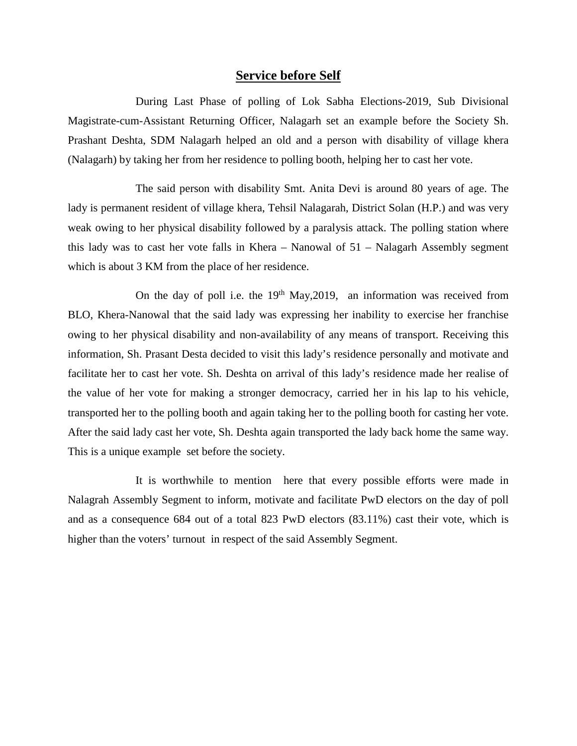## **Service before Self**

During Last Phase of polling of Lok Sabha Elections-2019, Sub Divisional Magistrate-cum-Assistant Returning Officer, Nalagarh set an example before the Society Sh. Prashant Deshta, SDM Nalagarh helped an old and a person with disability of village khera (Nalagarh) by taking her from her residence to polling booth, helping her to cast her vote.

The said person with disability Smt. Anita Devi is around 80 years of age. The lady is permanent resident of village khera, Tehsil Nalagarah, District Solan (H.P.) and was very weak owing to her physical disability followed by a paralysis attack. The polling station where this lady was to cast her vote falls in Khera – Nanowal of 51 – Nalagarh Assembly segment which is about 3 KM from the place of her residence.

On the day of poll i.e. the  $19<sup>th</sup>$  May, 2019, an information was received from BLO, Khera-Nanowal that the said lady was expressing her inability to exercise her franchise owing to her physical disability and non-availability of any means of transport. Receiving this information, Sh. Prasant Desta decided to visit this lady's residence personally and motivate and facilitate her to cast her vote. Sh. Deshta on arrival of this lady's residence made her realise of the value of her vote for making a stronger democracy, carried her in his lap to his vehicle, transported her to the polling booth and again taking her to the polling booth for casting her vote. After the said lady cast her vote, Sh. Deshta again transported the lady back home the same way. This is a unique example set before the society.

It is worthwhile to mention here that every possible efforts were made in Nalagrah Assembly Segment to inform, motivate and facilitate PwD electors on the day of poll and as a consequence 684 out of a total 823 PwD electors (83.11%) cast their vote, which is higher than the voters' turnout in respect of the said Assembly Segment.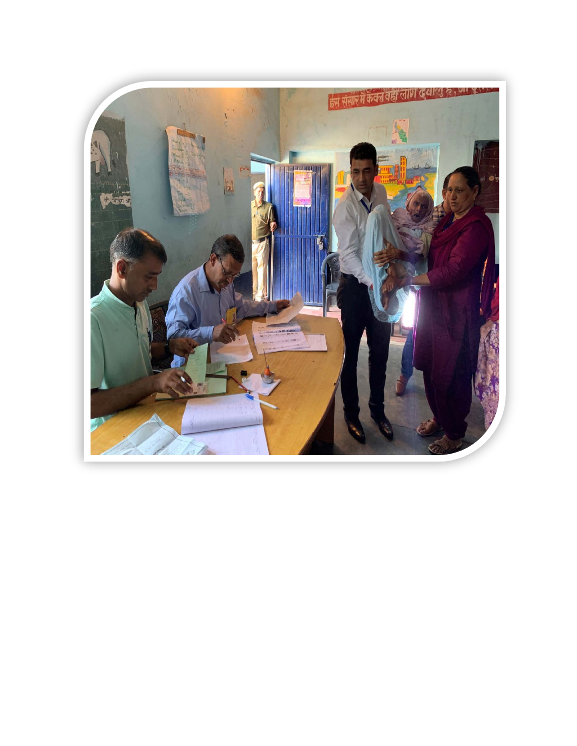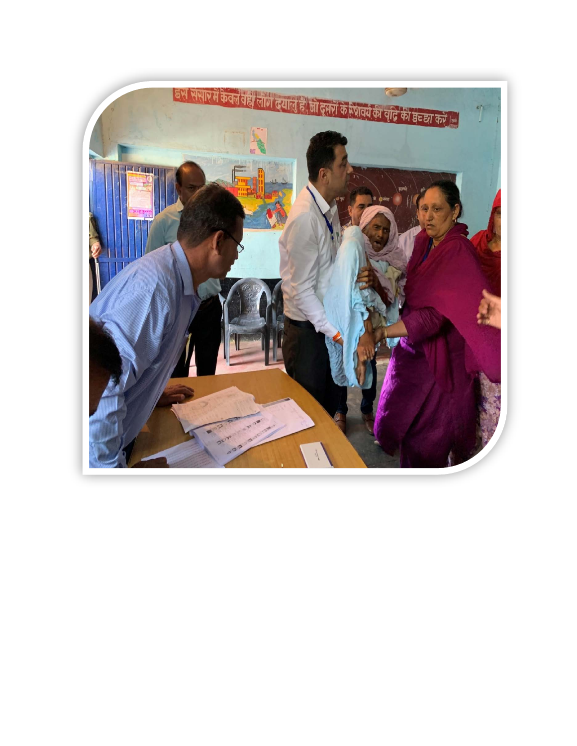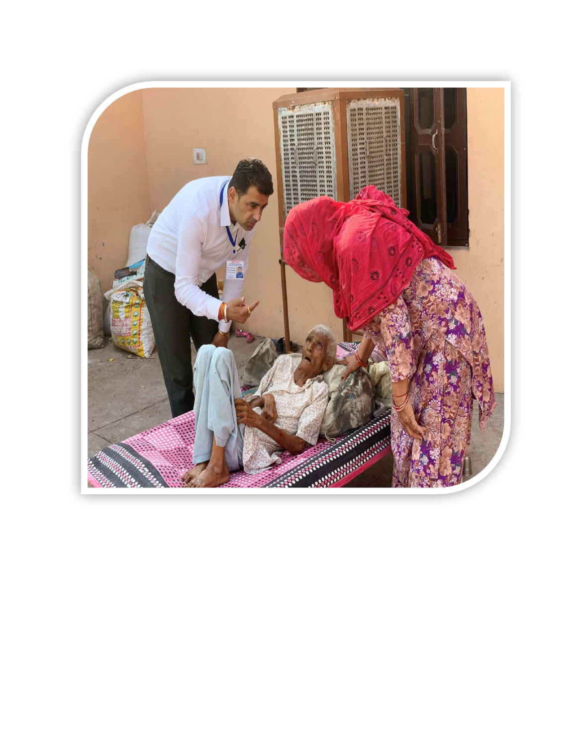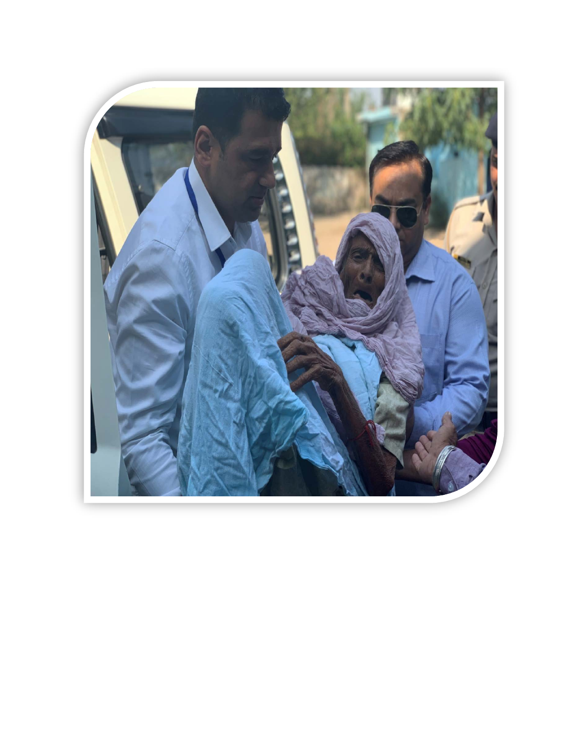